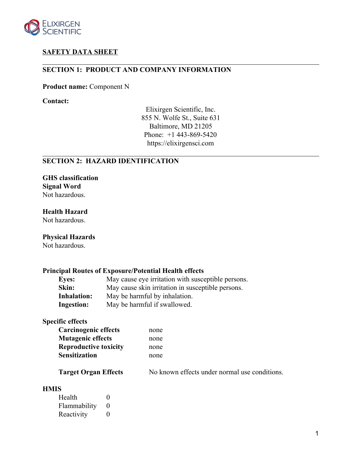

# **SAFETY DATA SHEET**

# **SECTION 1: PRODUCT AND COMPANY INFORMATION**

**Product name:** Component N

**Contact:**

Elixirgen Scientific, Inc. 855 N. Wolfe St., Suite 631 Baltimore, MD 21205 Phone: +1 443-869-5420 https://elixirgensci.com

### **SECTION 2: HAZARD IDENTIFICATION**

**GHS classification Signal Word** Not hazardous.

**Health Hazard** Not hazardous.

# **Physical Hazards**

Not hazardous.

# **Principal Routes of Exposure/Potential Health effects**

| <b>Eyes:</b>       | May cause eye irritation with susceptible persons. |
|--------------------|----------------------------------------------------|
| Skin:              | May cause skin irritation in susceptible persons.  |
| <b>Inhalation:</b> | May be harmful by inhalation.                      |
| <b>Ingestion:</b>  | May be harmful if swallowed.                       |

# **Specific effects**

| <b>Carcinogenic effects</b>  | none                                          |
|------------------------------|-----------------------------------------------|
| <b>Mutagenic effects</b>     | none                                          |
| <b>Reproductive toxicity</b> | none                                          |
| <b>Sensitization</b>         | none                                          |
| <b>Target Organ Effects</b>  | No known effects under normal use conditions. |

#### **HMIS**

| Health       | $\Omega$          |
|--------------|-------------------|
| Flammability | $\mathbf{\Omega}$ |
| Reactivity   | $\Omega$          |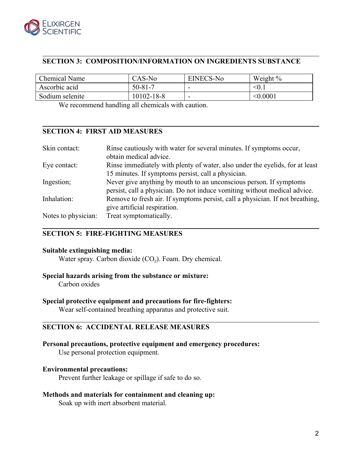

# **SECTION 3: COMPOSITION/INFORMATION ON INGREDIENTS SUBSTANCE**

| Chemical Name   | CAS-No        | <b>EINECS-No</b> | Weight $\%$ |
|-----------------|---------------|------------------|-------------|
| Ascorbic acid   | $50 - 81 - 7$ |                  | $\leq 0$ .  |
| Sodium selenite | 10102-18-8    |                  | < 0.0001    |

We recommend handling all chemicals with caution.

# **SECTION 4: FIRST AID MEASURES**

| Skin contact:       | Rinse cautiously with water for several minutes. If symptoms occur,<br>obtain medical advice. |
|---------------------|-----------------------------------------------------------------------------------------------|
| Eye contact:        | Rinse immediately with plenty of water, also under the eyelids, for at least                  |
|                     | 15 minutes. If symptoms persist, call a physician.                                            |
| Ingestion;          | Never give anything by mouth to an unconscious person. If symptoms                            |
|                     | persist, call a physician. Do not induce vomiting without medical advice.                     |
| Inhalation:         | Remove to fresh air. If symptoms persist, call a physician. If not breathing,                 |
|                     | give artificial respiration.                                                                  |
| Notes to physician: | Treat symptomatically.                                                                        |

# **SECTION 5: FIRE-FIGHTING MEASURES**

#### **Suitable extinguishing media:**

Water spray. Carbon dioxide  $(CO<sub>2</sub>)$ . Foam. Dry chemical.

#### **Special hazards arising from the substance or mixture:**

Carbon oxides

#### **Special protective equipment and precautions for fire-fighters:**

Wear self-contained breathing apparatus and protective suit.

# **SECTION 6: ACCIDENTAL RELEASE MEASURES**

#### **Personal precautions, protective equipment and emergency procedures:**

Use personal protection equipment.

#### **Environmental precautions:**

Prevent further leakage or spillage if safe to do so.

#### **Methods and materials for containment and cleaning up:**

Soak up with inert absorbent material.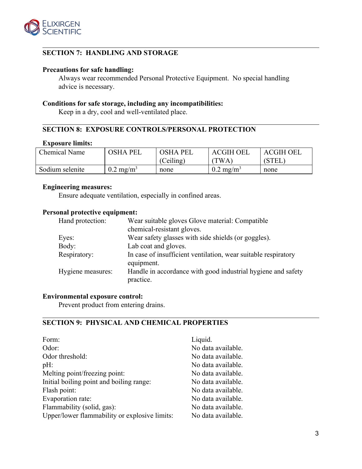

# **SECTION 7: HANDLING AND STORAGE**

#### **Precautions for safe handling:**

Always wear recommended Personal Protective Equipment. No special handling advice is necessary.

### **Conditions for safe storage, including any incompatibilities:**

Keep in a dry, cool and well-ventilated place.

### **SECTION 8: EXPOSURE CONTROLS/PERSONAL PROTECTION**

#### **Exposure limits:**

| Chemical Name   | OSHA PEL             | OSHA PEL  | <b>ACGIH OEL</b>     | <b>ACGIH OEL</b> |
|-----------------|----------------------|-----------|----------------------|------------------|
|                 |                      | (Ceiling) | TWA,                 | (STEL)           |
| Sodium selenite | $0.2 \text{ mg/m}^3$ | none      | $0.2 \text{ mg/m}^3$ | none             |

# **Engineering measures:**

Ensure adequate ventilation, especially in confined areas.

#### **Personal protective equipment:**

| Wear suitable gloves Glove material: Compatible                           |
|---------------------------------------------------------------------------|
| chemical-resistant gloves.                                                |
| Wear safety glasses with side shields (or goggles).                       |
| Lab coat and gloves.                                                      |
| In case of insufficient ventilation, wear suitable respiratory            |
| equipment.                                                                |
| Handle in accordance with good industrial hygiene and safety<br>practice. |
|                                                                           |

#### **Environmental exposure control:**

Prevent product from entering drains.

# **SECTION 9: PHYSICAL AND CHEMICAL PROPERTIES**

| Form:                                         | Liquid.            |
|-----------------------------------------------|--------------------|
| Odor:                                         | No data available. |
| Odor threshold:                               | No data available. |
| pH:                                           | No data available. |
| Melting point/freezing point:                 | No data available. |
| Initial boiling point and boiling range:      | No data available. |
| Flash point:                                  | No data available. |
| Evaporation rate:                             | No data available. |
| Flammability (solid, gas):                    | No data available. |
| Upper/lower flammability or explosive limits: | No data available. |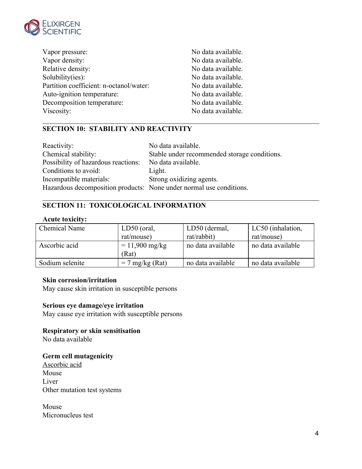

| Vapor pressure:                         | No data available. |
|-----------------------------------------|--------------------|
| Vapor density:                          | No data available. |
| Relative density:                       | No data available. |
| Solubility(ies):                        | No data available. |
| Partition coefficient: n-octanol/water: | No data available. |
| Auto-ignition temperature:              | No data available. |
| Decomposition temperature:              | No data available. |
| Viscosity:                              | No data available. |

# **SECTION 10: STABILITY AND REACTIVITY**

| Reactivity:                                                         | No data available.                           |
|---------------------------------------------------------------------|----------------------------------------------|
| Chemical stability:                                                 | Stable under recommended storage conditions. |
| Possibility of hazardous reactions:                                 | No data available.                           |
| Conditions to avoid:                                                | Light.                                       |
| Incompatible materials:                                             | Strong oxidizing agents.                     |
| Hazardous decomposition products: None under normal use conditions. |                                              |

# **SECTION 11: TOXICOLOGICAL INFORMATION**

#### **Acute toxicity:**

| <b>Chemical Name</b> | $LD50$ (oral,     | LD50 (dermal,     | LC50 (inhalation, |
|----------------------|-------------------|-------------------|-------------------|
|                      | rat/mouse)        | rat/rabbit)       | rat/mouse)        |
| Ascorbic acid        | $= 11,900$ mg/kg  | no data available | no data available |
|                      | (Rat)             |                   |                   |
| Sodium selenite      | $= 7$ mg/kg (Rat) | no data available | no data available |
|                      |                   |                   |                   |

### **Skin corrosion/irritation**

May cause skin irritation in susceptible persons

### **Serious eye damage/eye irritation**

May cause eye irritation with susceptible persons

# **Respiratory or skin sensitisation**

No data available

# **Germ cell mutagenicity**

Ascorbic acid Mouse Liver Other mutation test systems

Mouse Micronucleus test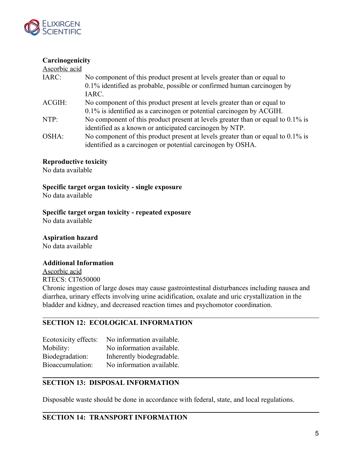

# **Carcinogenicity**

| Ascorbic acid |                                                                                 |
|---------------|---------------------------------------------------------------------------------|
| IARC:         | No component of this product present at levels greater than or equal to         |
|               | 0.1% identified as probable, possible or confirmed human carcinogen by          |
|               | IARC.                                                                           |
| ACGIH:        | No component of this product present at levels greater than or equal to         |
|               | 0.1% is identified as a carcinogen or potential carcinogen by ACGIH.            |
| $NTP$ :       | No component of this product present at levels greater than or equal to 0.1% is |
|               | identified as a known or anticipated carcinogen by NTP.                         |
| OSHA:         | No component of this product present at levels greater than or equal to 0.1% is |
|               | identified as a carcinogen or potential carcinogen by OSHA.                     |

### **Reproductive toxicity**

No data available

**Specific target organ toxicity - single exposure**

No data available

**Specific target organ toxicity - repeated exposure**

No data available

# **Aspiration hazard**

No data available

#### **Additional Information**

Ascorbic acid RTECS: CI7650000 Chronic ingestion of large doses may cause gastrointestinal disturbances including nausea and diarrhea, urinary effects involving urine acidification, oxalate and uric crystallization in the bladder and kidney, and decreased reaction times and psychomotor coordination.

# **SECTION 12: ECOLOGICAL INFORMATION**

Ecotoxicity effects: No information available. Mobility: No information available. Biodegradation: Inherently biodegradable. Bioaccumulation: No information available.

# **SECTION 13: DISPOSAL INFORMATION**

Disposable waste should be done in accordance with federal, state, and local regulations.

### **SECTION 14: TRANSPORT INFORMATION**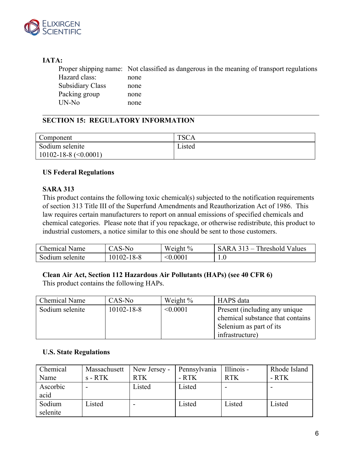

# **IATA:**

Proper shipping name: Not classified as dangerous in the meaning of transport regulations Hazard class: none Subsidiary Class none Packing group none UN-No none

# **SECTION 15: REGULATORY INFORMATION**

| Component                    | <b>TSCA</b> |
|------------------------------|-------------|
| Sodium selenite              | Listed      |
| $10102 - 18 - 8 \leq 0.0001$ |             |

### **US Federal Regulations**

### **SARA 313**

This product contains the following toxic chemical(s) subjected to the notification requirements of section 313 Title III of the Superfund Amendments and Reauthorization Act of 1986. This law requires certain manufacturers to report on annual emissions of specified chemicals and chemical categories. Please note that if you repackage, or otherwise redistribute, this product to industrial customers, a notice similar to this one should be sent to those customers.

| Chemical Name   | CAS-No     | Weight %      | SARA 313 – Threshold Values |
|-----------------|------------|---------------|-----------------------------|
| Sodium selenite | 10102-18-8 | $<\!\!0.0001$ | $1.0\,$                     |

# **Clean Air Act, Section 112 Hazardous Air Pollutants (HAPs) (see 40 CFR 6)**

This product contains the following HAPs.

| <b>Chemical Name</b> | $CAS-N0$         | Weight $\%$ | HAPS data                        |  |
|----------------------|------------------|-------------|----------------------------------|--|
| Sodium selenite      | $10102 - 18 - 8$ | < 0.0001    | Present (including any unique    |  |
|                      |                  |             | chemical substance that contains |  |
|                      |                  |             | Selenium as part of its          |  |
|                      |                  |             | infrastructure)                  |  |

# **U.S. State Regulations**

| Chemical | Massachusett | New Jersey - | Pennsylvania | Illinois - | Rhode Island |
|----------|--------------|--------------|--------------|------------|--------------|
| Name     | $s$ - RTK    | <b>RTK</b>   | - RTK        | <b>RTK</b> | - RTK        |
| Ascorbic |              | Listed       | Listed       |            |              |
| acid     |              |              |              |            |              |
| Sodium   | Listed       | $\,$         | Listed       | Listed     | Listed       |
| selenite |              |              |              |            |              |